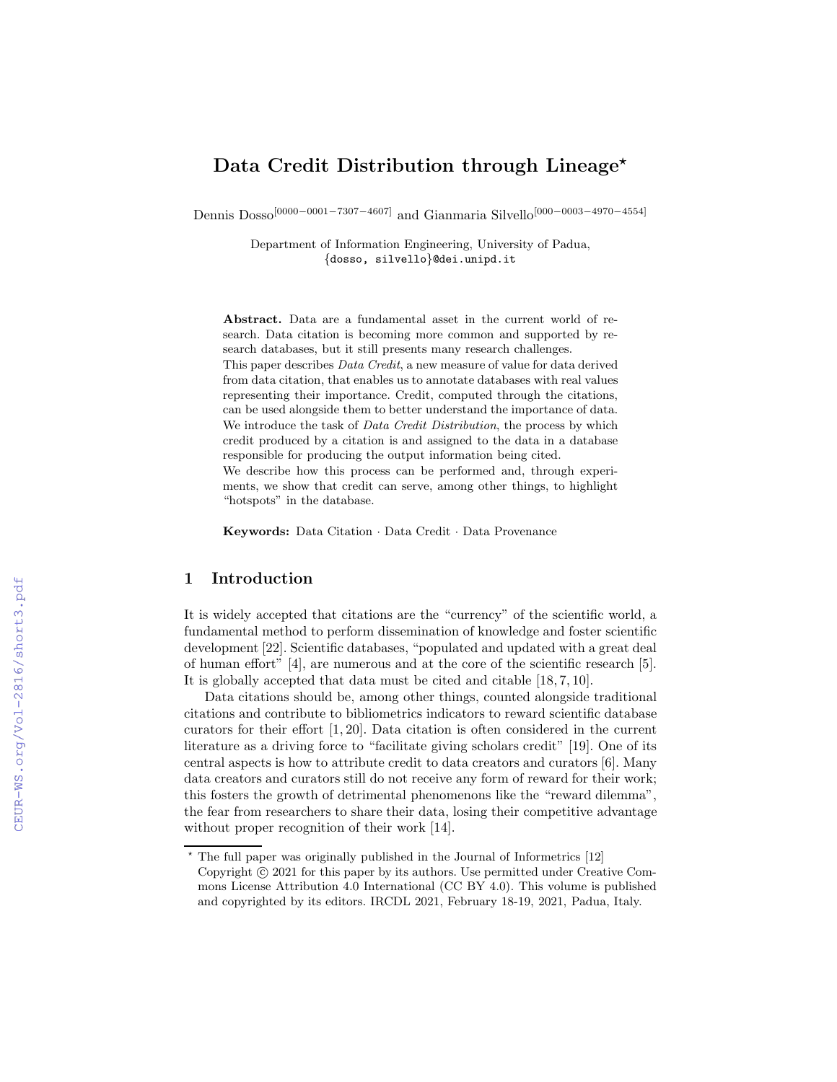# Data Credit Distribution through Lineage<sup>\*</sup>

Dennis Dosso[0000−0001−7307−4607] and Gianmaria Silvello[000−0003−4970−4554]

Department of Information Engineering, University of Padua, {dosso, silvello}@dei.unipd.it

Abstract. Data are a fundamental asset in the current world of research. Data citation is becoming more common and supported by research databases, but it still presents many research challenges.

This paper describes Data Credit, a new measure of value for data derived from data citation, that enables us to annotate databases with real values representing their importance. Credit, computed through the citations, can be used alongside them to better understand the importance of data. We introduce the task of *Data Credit Distribution*, the process by which credit produced by a citation is and assigned to the data in a database responsible for producing the output information being cited. We describe how this process can be performed and, through experiments, we show that credit can serve, among other things, to highlight "hotspots" in the database.

Keywords: Data Citation · Data Credit · Data Provenance

# 1 Introduction

It is widely accepted that citations are the "currency" of the scientific world, a fundamental method to perform dissemination of knowledge and foster scientific development [22]. Scientific databases, "populated and updated with a great deal of human effort" [4], are numerous and at the core of the scientific research [5]. It is globally accepted that data must be cited and citable [18, 7, 10].

Data citations should be, among other things, counted alongside traditional citations and contribute to bibliometrics indicators to reward scientific database curators for their effort [1, 20]. Data citation is often considered in the current literature as a driving force to "facilitate giving scholars credit" [19]. One of its central aspects is how to attribute credit to data creators and curators [6]. Many data creators and curators still do not receive any form of reward for their work; this fosters the growth of detrimental phenomenons like the "reward dilemma", the fear from researchers to share their data, losing their competitive advantage without proper recognition of their work [14].

 $*$  The full paper was originally published in the Journal of Informetrics  $[12]$ 

Copyright  $\odot$  2021 for this paper by its authors. Use permitted under Creative Commons License Attribution 4.0 International (CC BY 4.0). This volume is published and copyrighted by its editors. IRCDL 2021, February 18-19, 2021, Padua, Italy.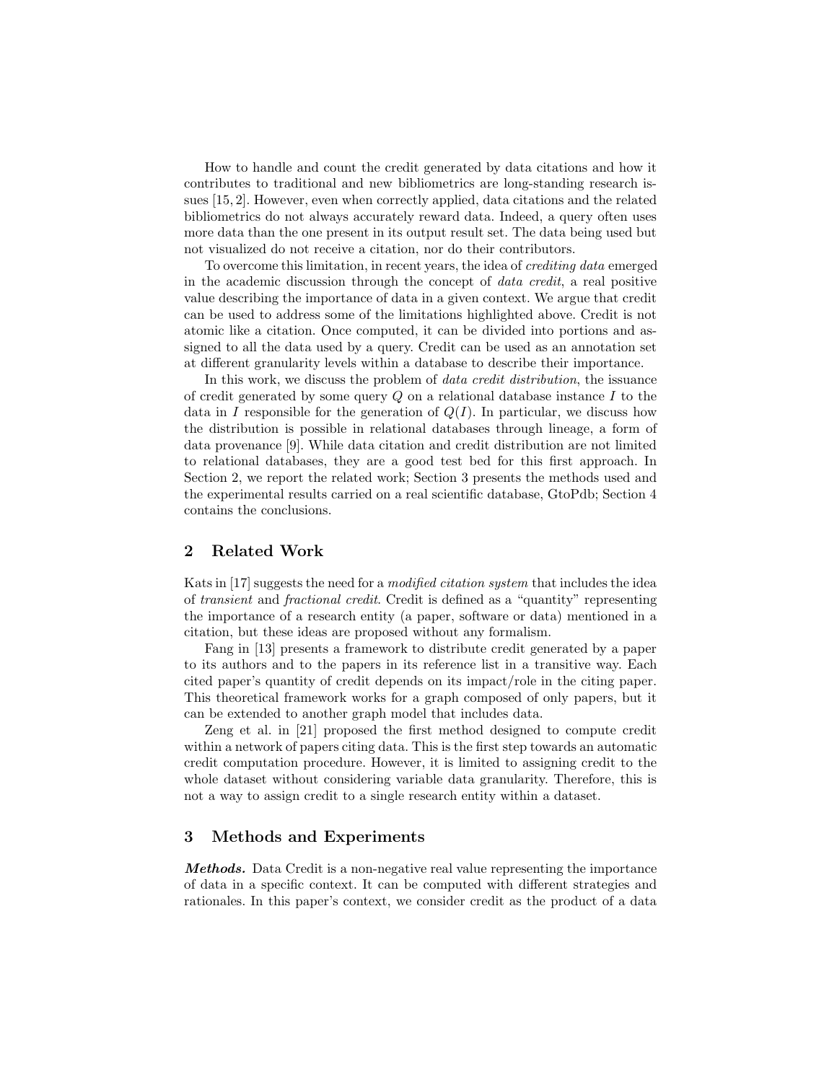How to handle and count the credit generated by data citations and how it contributes to traditional and new bibliometrics are long-standing research issues [15, 2]. However, even when correctly applied, data citations and the related bibliometrics do not always accurately reward data. Indeed, a query often uses more data than the one present in its output result set. The data being used but not visualized do not receive a citation, nor do their contributors.

To overcome this limitation, in recent years, the idea of crediting data emerged in the academic discussion through the concept of data credit, a real positive value describing the importance of data in a given context. We argue that credit can be used to address some of the limitations highlighted above. Credit is not atomic like a citation. Once computed, it can be divided into portions and assigned to all the data used by a query. Credit can be used as an annotation set at different granularity levels within a database to describe their importance.

In this work, we discuss the problem of data credit distribution, the issuance of credit generated by some query  $Q$  on a relational database instance  $I$  to the data in I responsible for the generation of  $Q(I)$ . In particular, we discuss how the distribution is possible in relational databases through lineage, a form of data provenance [9]. While data citation and credit distribution are not limited to relational databases, they are a good test bed for this first approach. In Section 2, we report the related work; Section 3 presents the methods used and the experimental results carried on a real scientific database, GtoPdb; Section 4 contains the conclusions.

## 2 Related Work

Kats in [17] suggests the need for a modified citation system that includes the idea of transient and fractional credit. Credit is defined as a "quantity" representing the importance of a research entity (a paper, software or data) mentioned in a citation, but these ideas are proposed without any formalism.

Fang in [13] presents a framework to distribute credit generated by a paper to its authors and to the papers in its reference list in a transitive way. Each cited paper's quantity of credit depends on its impact/role in the citing paper. This theoretical framework works for a graph composed of only papers, but it can be extended to another graph model that includes data.

Zeng et al. in [21] proposed the first method designed to compute credit within a network of papers citing data. This is the first step towards an automatic credit computation procedure. However, it is limited to assigning credit to the whole dataset without considering variable data granularity. Therefore, this is not a way to assign credit to a single research entity within a dataset.

## 3 Methods and Experiments

Methods. Data Credit is a non-negative real value representing the importance of data in a specific context. It can be computed with different strategies and rationales. In this paper's context, we consider credit as the product of a data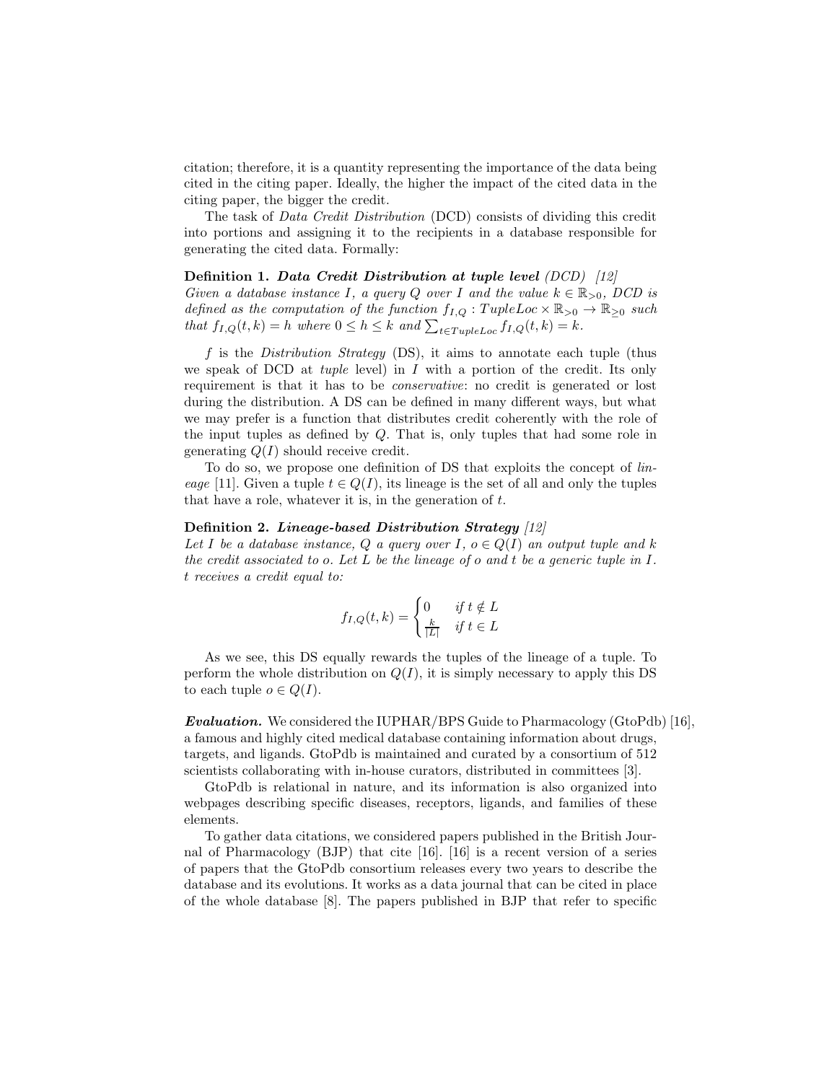citation; therefore, it is a quantity representing the importance of the data being cited in the citing paper. Ideally, the higher the impact of the cited data in the citing paper, the bigger the credit.

The task of Data Credit Distribution (DCD) consists of dividing this credit into portions and assigning it to the recipients in a database responsible for generating the cited data. Formally:

#### Definition 1. Data Credit Distribution at tuple level (DCD) [12]

Given a database instance I, a query Q over I and the value  $k \in \mathbb{R}_{>0}$ , DCD is defined as the computation of the function  $f_{I,Q}:TupleLoc \times \mathbb{R}_{\geq 0} \to \mathbb{R}_{\geq 0}$  such that  $f_{I,Q}(t, k) = h$  where  $0 \leq h \leq k$  and  $\sum_{t \in TupleLoc} f_{I,Q}(t, k) = k$ .

f is the Distribution Strategy  $(DS)$ , it aims to annotate each tuple (thus we speak of DCD at *tuple* level) in  $I$  with a portion of the credit. Its only requirement is that it has to be conservative: no credit is generated or lost during the distribution. A DS can be defined in many different ways, but what we may prefer is a function that distributes credit coherently with the role of the input tuples as defined by Q. That is, only tuples that had some role in generating  $Q(I)$  should receive credit.

To do so, we propose one definition of DS that exploits the concept of lineage [11]. Given a tuple  $t \in Q(I)$ , its lineage is the set of all and only the tuples that have a role, whatever it is, in the generation of  $t$ .

#### Definition 2. Lineage-based Distribution Strategy [12]

Let I be a database instance, Q a query over I,  $o \in Q(I)$  an output tuple and k the credit associated to o. Let  $L$  be the lineage of  $o$  and  $t$  be a generic tuple in  $I$ . t receives a credit equal to:

$$
f_{I,Q}(t,k) = \begin{cases} 0 & \text{if } t \notin L \\ \frac{k}{|L|} & \text{if } t \in L \end{cases}
$$

As we see, this DS equally rewards the tuples of the lineage of a tuple. To perform the whole distribution on  $Q(I)$ , it is simply necessary to apply this DS to each tuple  $o \in Q(I)$ .

**Evaluation.** We considered the IUPHAR/BPS Guide to Pharmacology (GtoPdb) [16], a famous and highly cited medical database containing information about drugs, targets, and ligands. GtoPdb is maintained and curated by a consortium of 512 scientists collaborating with in-house curators, distributed in committees [3].

GtoPdb is relational in nature, and its information is also organized into webpages describing specific diseases, receptors, ligands, and families of these elements.

To gather data citations, we considered papers published in the British Journal of Pharmacology (BJP) that cite [16]. [16] is a recent version of a series of papers that the GtoPdb consortium releases every two years to describe the database and its evolutions. It works as a data journal that can be cited in place of the whole database [8]. The papers published in BJP that refer to specific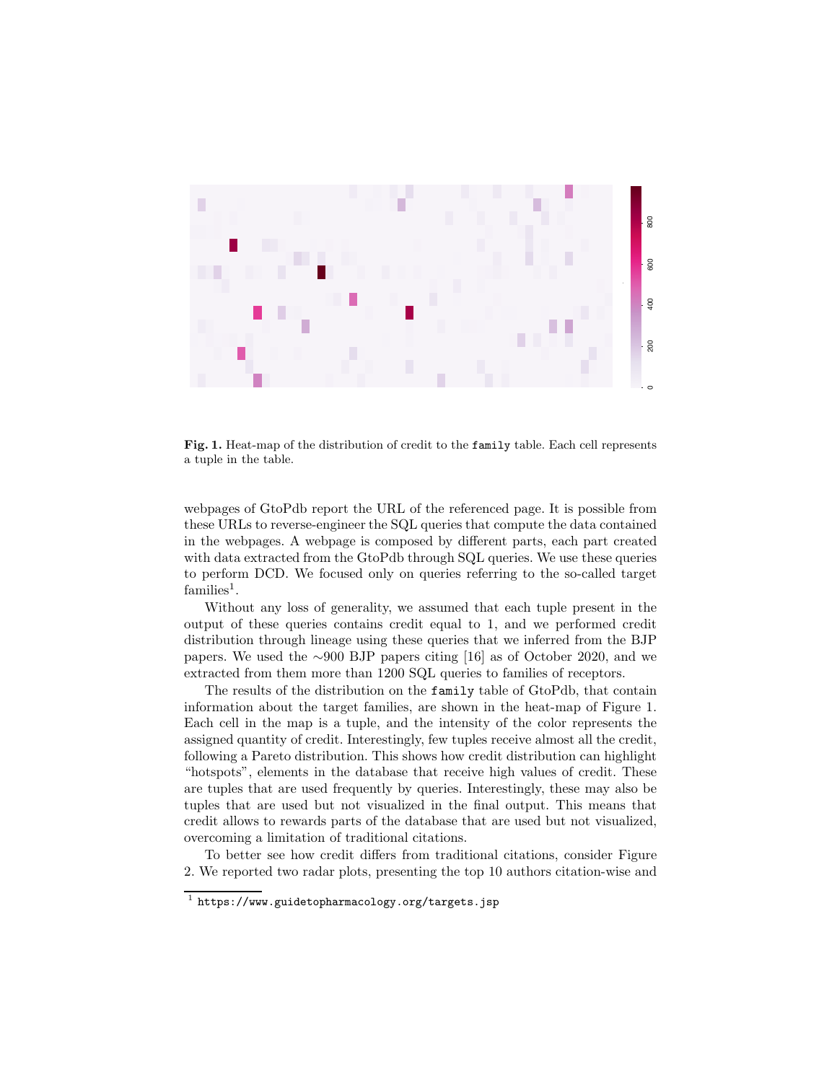

Fig. 1. Heat-map of the distribution of credit to the family table. Each cell represents a tuple in the table.

webpages of GtoPdb report the URL of the referenced page. It is possible from these URLs to reverse-engineer the SQL queries that compute the data contained in the webpages. A webpage is composed by different parts, each part created with data extracted from the GtoPdb through SQL queries. We use these queries to perform DCD. We focused only on queries referring to the so-called target  $families<sup>1</sup>$ .

Without any loss of generality, we assumed that each tuple present in the output of these queries contains credit equal to 1, and we performed credit distribution through lineage using these queries that we inferred from the BJP papers. We used the ∼900 BJP papers citing [16] as of October 2020, and we extracted from them more than 1200 SQL queries to families of receptors.

The results of the distribution on the family table of GtoPdb, that contain information about the target families, are shown in the heat-map of Figure 1. Each cell in the map is a tuple, and the intensity of the color represents the assigned quantity of credit. Interestingly, few tuples receive almost all the credit, following a Pareto distribution. This shows how credit distribution can highlight "hotspots", elements in the database that receive high values of credit. These are tuples that are used frequently by queries. Interestingly, these may also be tuples that are used but not visualized in the final output. This means that credit allows to rewards parts of the database that are used but not visualized, overcoming a limitation of traditional citations.

To better see how credit differs from traditional citations, consider Figure 2. We reported two radar plots, presenting the top 10 authors citation-wise and

 $^{\rm 1}$  https://www.guidetopharmacology.org/targets.jsp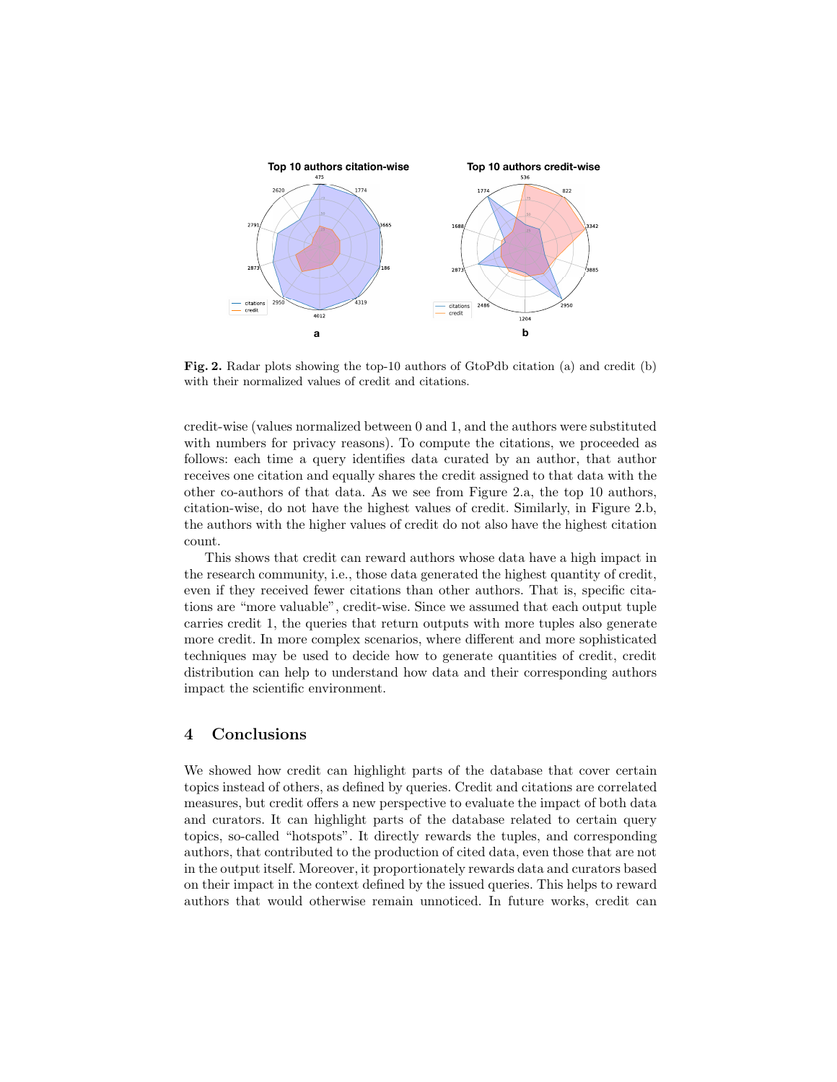

Fig. 2. Radar plots showing the top-10 authors of GtoPdb citation (a) and credit (b) with their normalized values of credit and citations.

credit-wise (values normalized between 0 and 1, and the authors were substituted with numbers for privacy reasons). To compute the citations, we proceeded as follows: each time a query identifies data curated by an author, that author receives one citation and equally shares the credit assigned to that data with the other co-authors of that data. As we see from Figure 2.a, the top 10 authors, citation-wise, do not have the highest values of credit. Similarly, in Figure 2.b, the authors with the higher values of credit do not also have the highest citation count.

This shows that credit can reward authors whose data have a high impact in the research community, i.e., those data generated the highest quantity of credit, even if they received fewer citations than other authors. That is, specific citations are "more valuable", credit-wise. Since we assumed that each output tuple carries credit 1, the queries that return outputs with more tuples also generate more credit. In more complex scenarios, where different and more sophisticated techniques may be used to decide how to generate quantities of credit, credit distribution can help to understand how data and their corresponding authors impact the scientific environment.

## 4 Conclusions

We showed how credit can highlight parts of the database that cover certain topics instead of others, as defined by queries. Credit and citations are correlated measures, but credit offers a new perspective to evaluate the impact of both data and curators. It can highlight parts of the database related to certain query topics, so-called "hotspots". It directly rewards the tuples, and corresponding authors, that contributed to the production of cited data, even those that are not in the output itself. Moreover, it proportionately rewards data and curators based on their impact in the context defined by the issued queries. This helps to reward authors that would otherwise remain unnoticed. In future works, credit can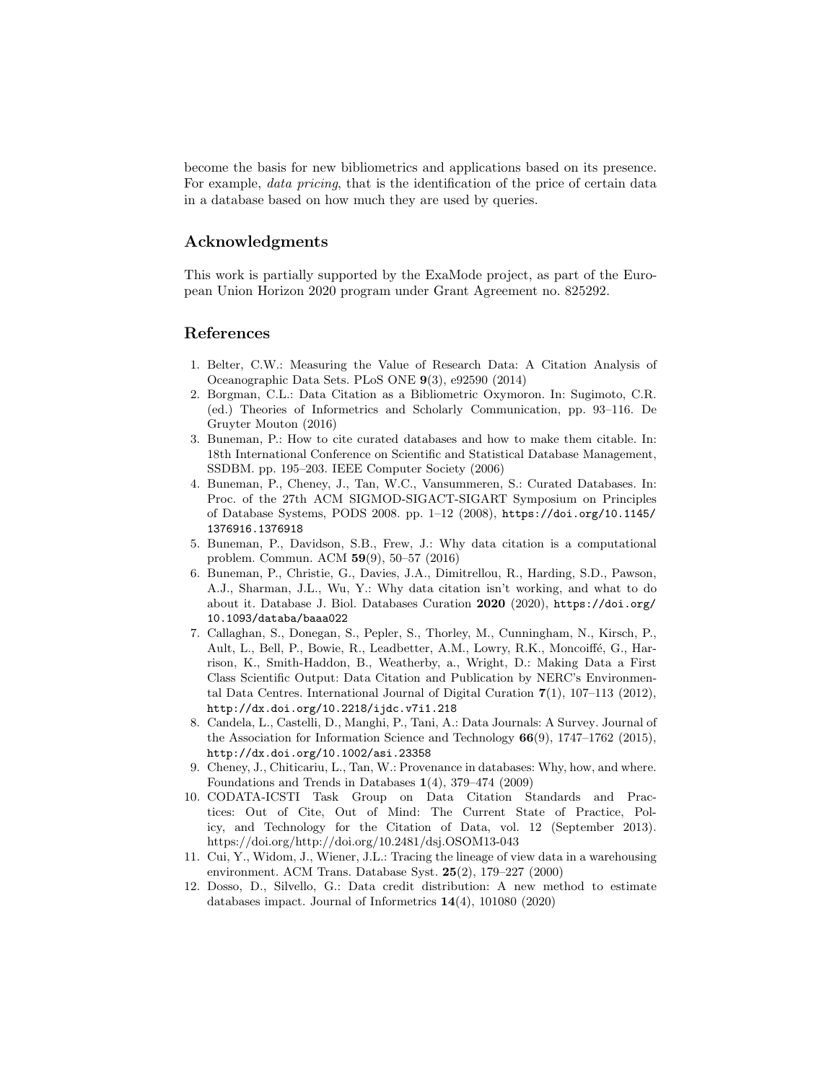become the basis for new bibliometrics and applications based on its presence. For example, *data pricing*, that is the identification of the price of certain data in a database based on how much they are used by queries.

### Acknowledgments

This work is partially supported by the ExaMode project, as part of the European Union Horizon 2020 program under Grant Agreement no. 825292.

### References

- 1. Belter, C.W.: Measuring the Value of Research Data: A Citation Analysis of Oceanographic Data Sets. PLoS ONE 9(3), e92590 (2014)
- 2. Borgman, C.L.: Data Citation as a Bibliometric Oxymoron. In: Sugimoto, C.R. (ed.) Theories of Informetrics and Scholarly Communication, pp. 93–116. De Gruyter Mouton (2016)
- 3. Buneman, P.: How to cite curated databases and how to make them citable. In: 18th International Conference on Scientific and Statistical Database Management, SSDBM. pp. 195–203. IEEE Computer Society (2006)
- 4. Buneman, P., Cheney, J., Tan, W.C., Vansummeren, S.: Curated Databases. In: Proc. of the 27th ACM SIGMOD-SIGACT-SIGART Symposium on Principles of Database Systems, PODS 2008. pp. 1–12 (2008), https://doi.org/10.1145/ 1376916.1376918
- 5. Buneman, P., Davidson, S.B., Frew, J.: Why data citation is a computational problem. Commun. ACM 59(9), 50–57 (2016)
- 6. Buneman, P., Christie, G., Davies, J.A., Dimitrellou, R., Harding, S.D., Pawson, A.J., Sharman, J.L., Wu, Y.: Why data citation isn't working, and what to do about it. Database J. Biol. Databases Curation 2020 (2020), https://doi.org/ 10.1093/databa/baaa022
- 7. Callaghan, S., Donegan, S., Pepler, S., Thorley, M., Cunningham, N., Kirsch, P., Ault, L., Bell, P., Bowie, R., Leadbetter, A.M., Lowry, R.K., Moncoiffé, G., Harrison, K., Smith-Haddon, B., Weatherby, a., Wright, D.: Making Data a First Class Scientific Output: Data Citation and Publication by NERC's Environmental Data Centres. International Journal of Digital Curation 7(1), 107–113 (2012), http://dx.doi.org/10.2218/ijdc.v7i1.218
- 8. Candela, L., Castelli, D., Manghi, P., Tani, A.: Data Journals: A Survey. Journal of the Association for Information Science and Technology  $66(9)$ , 1747–1762 (2015), http://dx.doi.org/10.1002/asi.23358
- 9. Cheney, J., Chiticariu, L., Tan, W.: Provenance in databases: Why, how, and where. Foundations and Trends in Databases 1(4), 379–474 (2009)
- 10. CODATA-ICSTI Task Group on Data Citation Standards and Practices: Out of Cite, Out of Mind: The Current State of Practice, Policy, and Technology for the Citation of Data, vol. 12 (September 2013). https://doi.org/http://doi.org/10.2481/dsj.OSOM13-043
- 11. Cui, Y., Widom, J., Wiener, J.L.: Tracing the lineage of view data in a warehousing environment. ACM Trans. Database Syst. 25(2), 179–227 (2000)
- 12. Dosso, D., Silvello, G.: Data credit distribution: A new method to estimate databases impact. Journal of Informetrics 14(4), 101080 (2020)